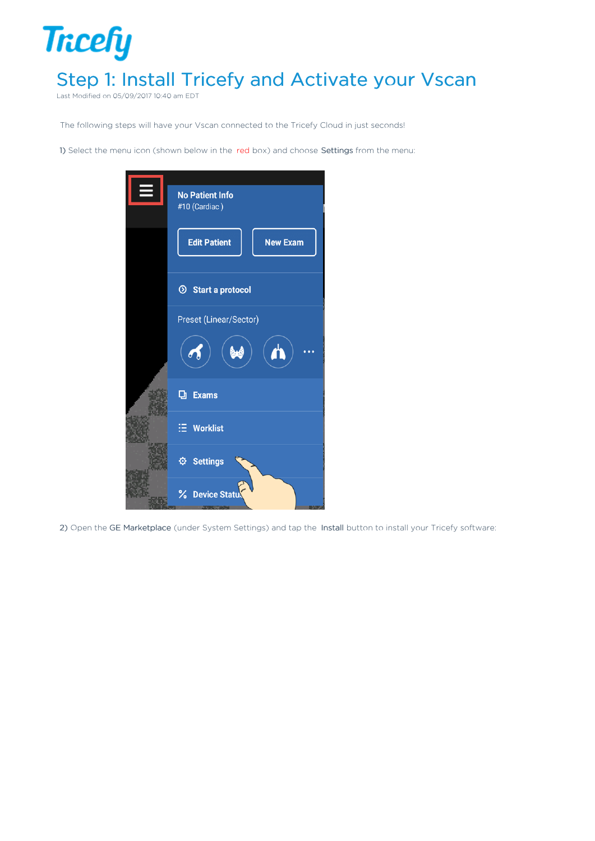## **Tricefy** Step 1: Install Tricefy and Activate your Vscan

Last Modified on 05/09/2017 10:40 am EDT

The following steps will have your Vscan connected to the Tricefy Cloud in just seconds!

1) Select the menu icon (shown below in the red box) and choose Settings from the menu:



2) Open the GE Marketplace (under System Settings) and tap the Install button to install your Tricefy software: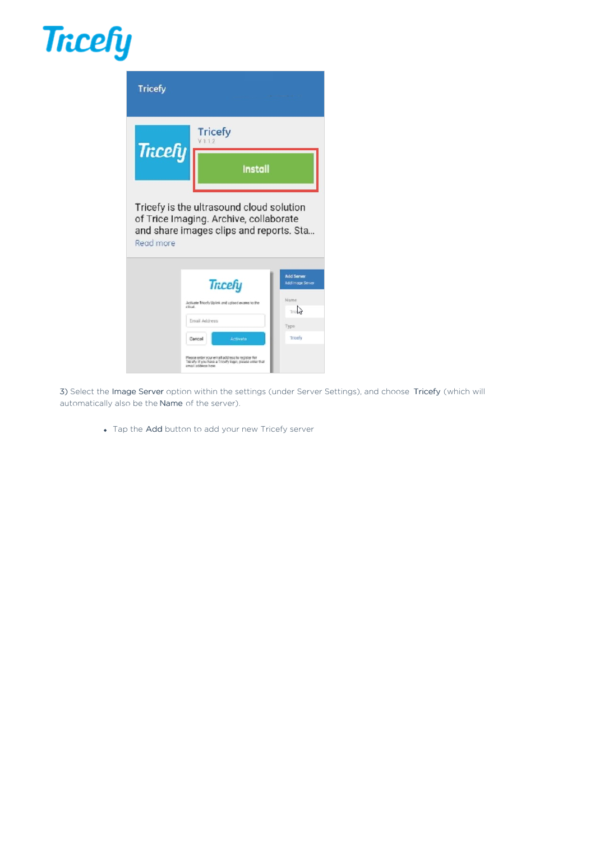## **Tricefy**



3) Select the Image Server option within the settings (under Server Settings), and choose Tricefy (which will automatically also be the Name of the server).

Tap the Add button to add your new Tricefy server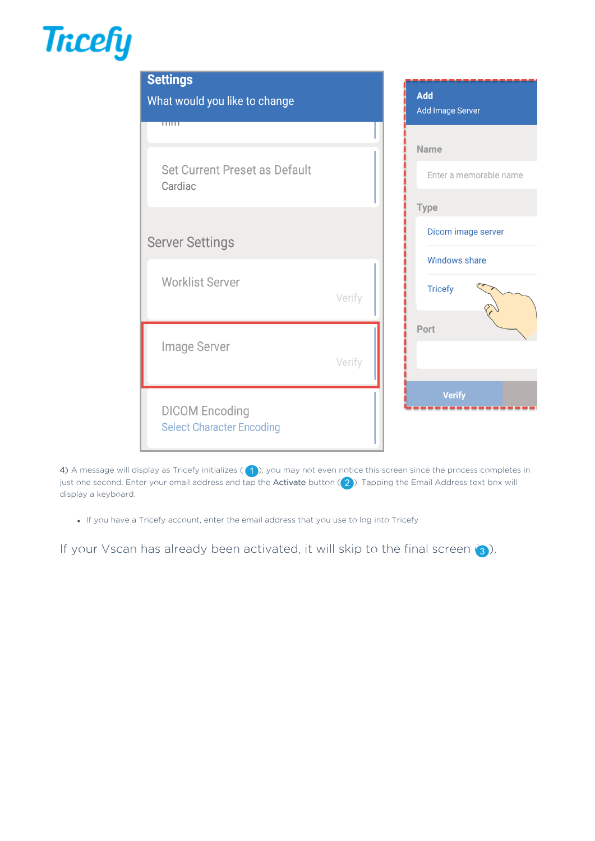## **Tricefy**



4) A message will display as Tricefy initializes ( $\binom{1}{1}$ ); you may not even notice this screen since the process completes in just one second. Enter your email address and tap the Activate button  $(2)$ . Tapping the Email Address text box will display a keyboard.

If you have a Tricefy account, enter the email address that you use to log into Tricefy

If your Vscan has already been activated, it will skip to the final screen  $\langle 3 \rangle$ .